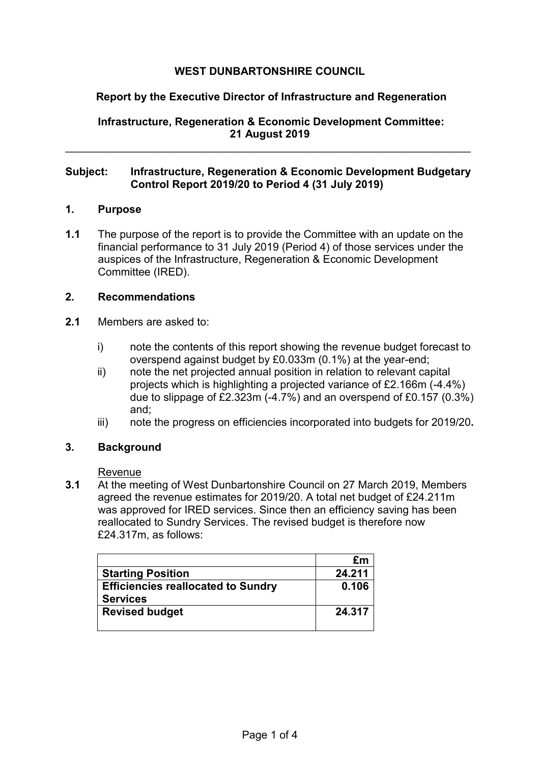# **WEST DUNBARTONSHIRE COUNCIL**

# **Report by the Executive Director of Infrastructure and Regeneration**

**Infrastructure, Regeneration & Economic Development Committee: 21 August 2019** 

### **Subject: Infrastructure, Regeneration & Economic Development Budgetary Control Report 2019/20 to Period 4 (31 July 2019)**

\_\_\_\_\_\_\_\_\_\_\_\_\_\_\_\_\_\_\_\_\_\_\_\_\_\_\_\_\_\_\_\_\_\_\_\_\_\_\_\_\_\_\_\_\_\_\_\_\_\_\_\_\_\_\_\_\_\_\_\_\_\_\_\_\_\_\_

### **1. Purpose**

**1.1** The purpose of the report is to provide the Committee with an update on the financial performance to 31 July 2019 (Period 4) of those services under the auspices of the Infrastructure, Regeneration & Economic Development Committee (IRED).

## **2. Recommendations**

- **2.1** Members are asked to:
	- i) note the contents of this report showing the revenue budget forecast to overspend against budget by £0.033m (0.1%) at the year-end;
	- ii) note the net projected annual position in relation to relevant capital projects which is highlighting a projected variance of £2.166m (-4.4%) due to slippage of £2.323m (-4.7%) and an overspend of £0.157 (0.3%) and;
	- iii) note the progress on efficiencies incorporated into budgets for 2019/20**.**

### **3. Background**

### Revenue

**3.1** At the meeting of West Dunbartonshire Council on 27 March 2019, Members agreed the revenue estimates for 2019/20. A total net budget of £24.211m was approved for IRED services. Since then an efficiency saving has been reallocated to Sundry Services. The revised budget is therefore now £24.317m, as follows:

|                                           | £m     |
|-------------------------------------------|--------|
| <b>Starting Position</b>                  | 24.211 |
| <b>Efficiencies reallocated to Sundry</b> | 0.106  |
| <b>Services</b>                           |        |
| <b>Revised budget</b>                     | 24.317 |
|                                           |        |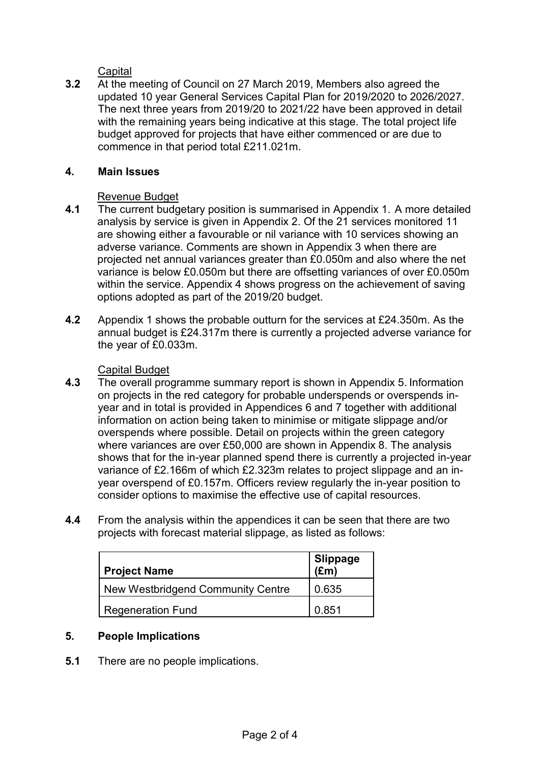**Capital** 

**3.2** At the meeting of Council on 27 March 2019, Members also agreed the updated 10 year General Services Capital Plan for 2019/2020 to 2026/2027. The next three years from 2019/20 to 2021/22 have been approved in detail with the remaining years being indicative at this stage. The total project life budget approved for projects that have either commenced or are due to commence in that period total £211.021m.

# **4. Main Issues**

# Revenue Budget

- **4.1** The current budgetary position is summarised in Appendix 1. A more detailed analysis by service is given in Appendix 2. Of the 21 services monitored 11 are showing either a favourable or nil variance with 10 services showing an adverse variance. Comments are shown in Appendix 3 when there are projected net annual variances greater than £0.050m and also where the net variance is below £0.050m but there are offsetting variances of over £0.050m within the service. Appendix 4 shows progress on the achievement of saving options adopted as part of the 2019/20 budget.
- **4.2** Appendix 1 shows the probable outturn for the services at £24.350m. As the annual budget is £24.317m there is currently a projected adverse variance for the year of £0.033m.

- Capital Budget<br>4.3 The overall pro **4.3** The overall programme summary report is shown in Appendix 5. Information on projects in the red category for probable underspends or overspends inyear and in total is provided in Appendices 6 and 7 together with additional information on action being taken to minimise or mitigate slippage and/or overspends where possible. Detail on projects within the green category where variances are over £50,000 are shown in Appendix 8. The analysis shows that for the in-year planned spend there is currently a projected in-year variance of £2.166m of which £2.323m relates to project slippage and an inyear overspend of £0.157m. Officers review regularly the in-year position to consider options to maximise the effective use of capital resources.
- **4.4** From the analysis within the appendices it can be seen that there are two projects with forecast material slippage, as listed as follows:

| <b>Project Name</b>               | Slippage<br>(£m) |
|-----------------------------------|------------------|
| New Westbridgend Community Centre | 0.635            |
| <b>Regeneration Fund</b>          | 0.851            |

# **5. People Implications**

**5.1** There are no people implications.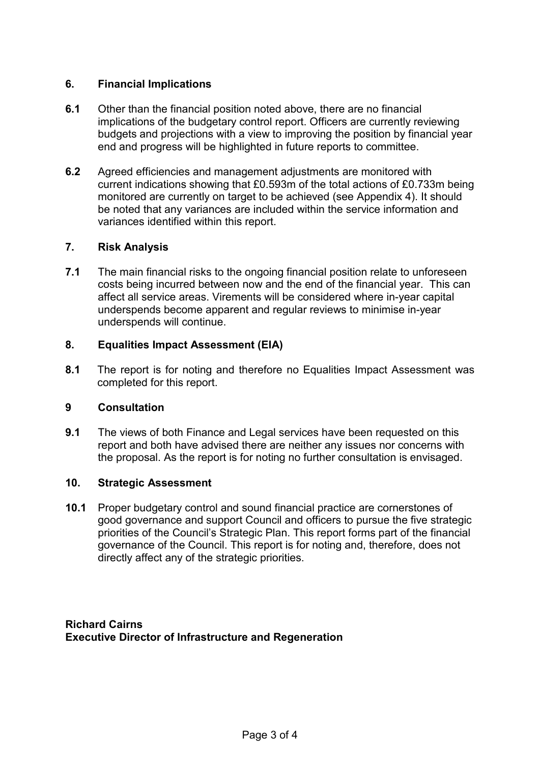# **6. Financial Implications**

- **6.1** Other than the financial position noted above, there are no financial implications of the budgetary control report. Officers are currently reviewing budgets and projections with a view to improving the position by financial year end and progress will be highlighted in future reports to committee.
- **6.2** Agreed efficiencies and management adjustments are monitored with current indications showing that £0.593m of the total actions of £0.733m being monitored are currently on target to be achieved (see Appendix 4). It should be noted that any variances are included within the service information and variances identified within this report.

### **7. Risk Analysis**

**7.1** The main financial risks to the ongoing financial position relate to unforeseen costs being incurred between now and the end of the financial year. This can affect all service areas. Virements will be considered where in-year capital underspends become apparent and regular reviews to minimise in-year underspends will continue.

# **8. Equalities Impact Assessment (EIA)**

**8.1** The report is for noting and therefore no Equalities Impact Assessment was completed for this report.

### **9 Consultation**

**9.1** The views of both Finance and Legal services have been requested on this report and both have advised there are neither any issues nor concerns with the proposal. As the report is for noting no further consultation is envisaged.

## **10. Strategic Assessment**

**10.1** Proper budgetary control and sound financial practice are cornerstones of good governance and support Council and officers to pursue the five strategic priorities of the Council's Strategic Plan. This report forms part of the financial governance of the Council. This report is for noting and, therefore, does not directly affect any of the strategic priorities.

**Richard Cairns Executive Director of Infrastructure and Regeneration**